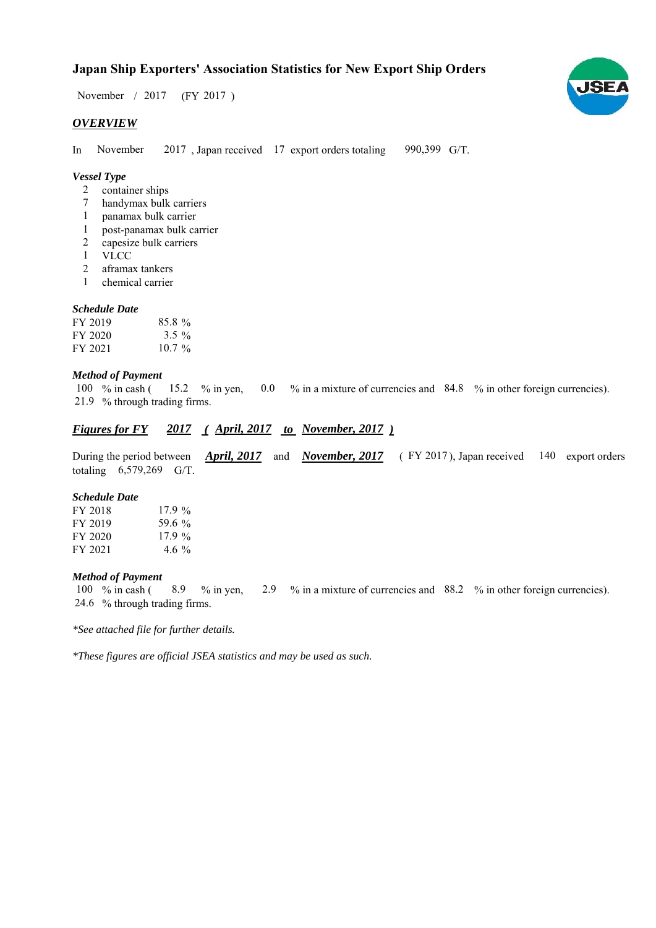## **Japan Ship Exporters' Association Statistics for New Export Ship Orders**

 $/ 2017$  (FY 2017) November / 2017

#### *OVERVIEW*

In November 2017, Japan received 17 export orders totaling 990,399 G/T. November

#### *Vessel Type*

- container ships 2
- handymax bulk carriers 7
- panamax bulk carrier 1
- post-panamax bulk carrier 1
- capesize bulk carriers 2
- VLCC 1
- aframax tankers 2
- chemical carrier 1

#### *Schedule Date*

| FY 2019 | $85.8\%$ |
|---------|----------|
| FY 2020 | $3.5 \%$ |
| FY 2021 | $10.7\%$ |

#### *Method of Payment*

% in cash ( $15.2$  % in yen,  $0.0$  % in a mixture of currencies and 84.8 % in other foreign currencies). % through trading firms. 21.9 100  $%$  in cash ( 15.2 % in yen,

### *<u>Figures for FY 2017 (April, 2017 to November, 2017)*</u>

During the period between *April, 2017* and *November, 2017* (FY 2017), Japan received 140 export orders totaling  $6,579,269$  G/T.

#### *Schedule Date*

| FY 2018 | 17.9%    |
|---------|----------|
| FY 2019 | 59.6 %   |
| FY 2020 | 17.9%    |
| FY 2021 | 4.6 $\%$ |

#### *Method of Payment*

100 % in cash (8.9 % in yen, 2.9 % in a mixture of currencies and 88.2 % in other foreign currencies). % through trading firms. 24.6

*\*See attached file for further details.*

*\*These figures are official JSEA statistics and may be used as such.*

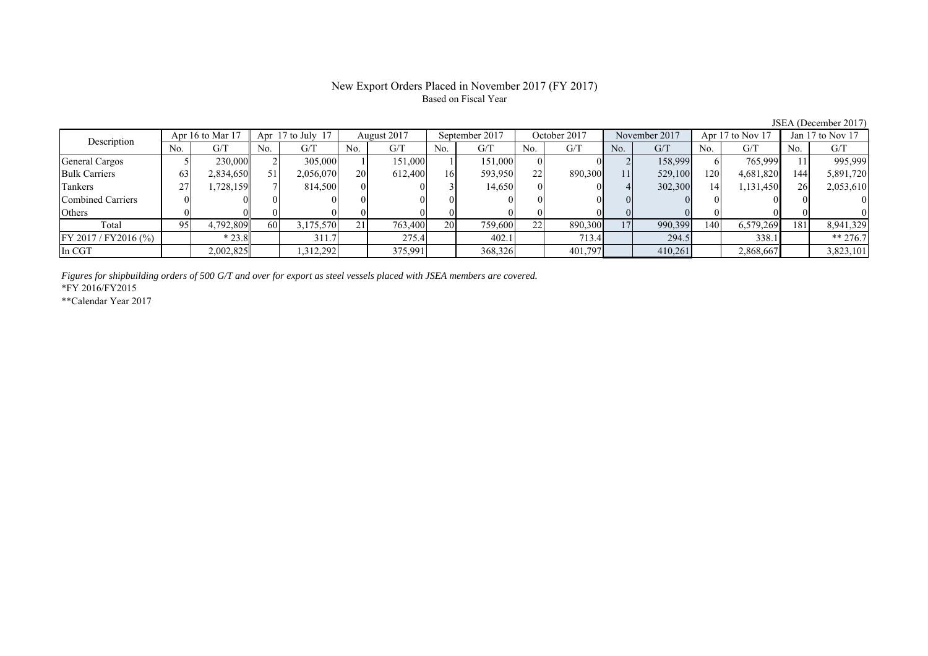# Based on Fiscal Year

JSEA (December 2017)<br>Apr 17 to Nov 17  $\parallel$  Jan 17 to Nov 17 No. G/T No. G/T No. G/T No. G/T No. G/T No. G/T No. G/T No. G/T General Cargos ( 5 230,000 2 305,000 1 151,000 1 151,000 0 0 2 158,999 6 765,999 11 995,999 Bulk Carriers 63 2,834,650 51 2,056,070 20 612,400 16 593,950 22 890,300 11 529,100 120 4,681,820 144 5,891,720 Tankers | 27| 1,728,159|| 7| 814,500| 0| 0| 3| 14,650| 0| 0| 4| 302,300| 14| 1,131,450|| 26| 2,053,610 Combined Carriers 0 0 0 0 0 0 0 0 0 0 0 0 0 0 0 0 Others | 0 | 0|| 0 | 0| 0| 0| 0| 0| 0| 0| 0| 0| 0 Total 95 4,792,809 60 3,175,570 21 763,400 20 759,600 22 890,300 17 990,399 140 6,579,269 181 8,941,329 FY 2017 / FY2016 (%) \* 23.8 311.7 275.4 402.1 713.4 294.5 338.1 \*\* 276.7 In CGT | | 2,002,825| | 1,312,292| | 375,991| | 368,326| | 401,797| | 410,261| | 2,868,667|| | 3,823,101 Apr 16 to Mar 17 Apr 17 to July 17 August 2017 September 2017 October 2017 November 2017 Apr 17 to Nov 17 Jan 17 to Nov 17 Description

*Figures for shipbuilding orders of 500 G/T and over for export as steel vessels placed with JSEA members are covered.*

\*FY 2016/FY2015

\*\*Calendar Year 2017

# New Export Orders Placed in November 2017 (FY 2017)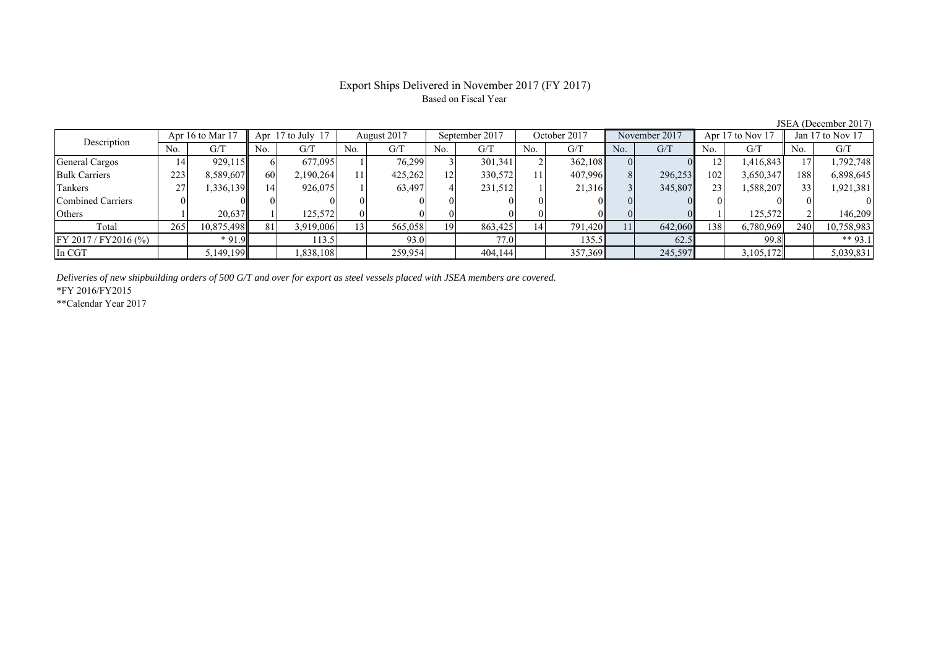### Export Ships Delivered in November 2017 (FY 2017) Based on Fiscal Year

| Description             |     | Apr 16 to Mar 17 |     | Apr 17 to July 17 |     | August 2017 |                 | September 2017 |     | October 2017 |                | November 2017 |                 | Apr 17 to Nov 17 |     | Jan 17 to Nov 17 |
|-------------------------|-----|------------------|-----|-------------------|-----|-------------|-----------------|----------------|-----|--------------|----------------|---------------|-----------------|------------------|-----|------------------|
|                         | No. | G/T              | No. | G/T               | No. | G/T         | No.             | G/T            | No. | G/T          | N <sub>0</sub> | G/T           | No.             | G/T              | No. | G/T              |
| <b>General Cargos</b>   | 14  | 929,115          |     | 677.095           |     | 76.299      |                 | 301.341        |     | 362,108      |                |               | 12 <sup>1</sup> | 1,416,843        |     | ,792,748         |
| <b>Bulk Carriers</b>    | 223 | 8,589,607        | 60  | 2,190,264         |     | 425,262     | 12 <sub>1</sub> | 330,572        |     | 407,996      |                | 296,253       | 102             | 3,650,347        | 188 | 6,898,645        |
| Tankers                 | 27  | 336,139          | 14  | 926,075           |     | 63,497      |                 | 231,512        |     | 21,316       |                | 345,807       | 23 <sub>1</sub> | 1,588,207        |     | 1,921,381        |
| Combined Carriers       |     |                  |     |                   |     |             |                 |                |     |              |                |               | $\Omega$        |                  |     |                  |
| Others                  |     | 20,637           |     | 125,572           |     |             |                 |                |     |              |                |               |                 | 125,572          |     | 146.209          |
| Total                   | 265 | 10,875,498       |     | 3,919,006         | 13  | 565,058     | 19              | 863,425        | 14  | 791,420      | 11             | 642,060       | 138             | 6,780,969        | 240 | 10,758,983       |
| $FY 2017 / FY 2016$ (%) |     | $*91.9$          |     | 113.5             |     | 93.0        |                 | 77.0           |     | 135.5        |                | 62.5          |                 | 99.8             |     | ** 93.1          |
| In CGT                  |     | 5,149,199        |     | .838,108          |     | 259,954     |                 | 404,144        |     | 357,369      |                | 245,597       |                 | 3,105,172        |     | 5,039,831        |

*Deliveries of new shipbuilding orders of 500 G/T and over for export as steel vessels placed with JSEA members are covered.*

\*FY 2016/FY2015

\*\*Calendar Year 2017

JSEA (December 2017)